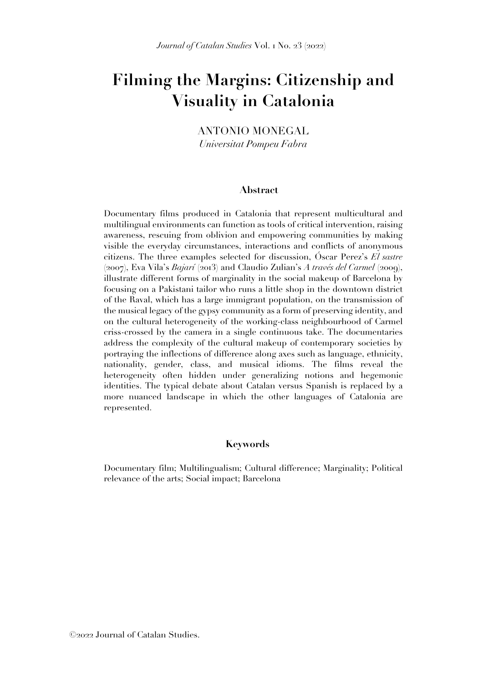# **Filming the Margins: Citizenship and Visuality in Catalonia**

ANTONIO MONEGAL *Universitat Pompeu Fabra*

#### **Abstract**

Documentary films produced in Catalonia that represent multicultural and multilingual environments can function as tools of critical intervention, raising awareness, rescuing from oblivion and empowering communities by making visible the everyday circumstances, interactions and conflicts of anonymous citizens. The three examples selected for discussion, Óscar Perez's *El sastre* (2007), Eva Vila's *Bajarí* (2013) and Claudio Zulian's *A través del Carmel* (2009), illustrate different forms of marginality in the social makeup of Barcelona by focusing on a Pakistani tailor who runs a little shop in the downtown district of the Raval, which has a large immigrant population, on the transmission of the musical legacy of the gypsy community as a form of preserving identity, and on the cultural heterogeneity of the working-class neighbourhood of Carmel criss-crossed by the camera in a single continuous take. The documentaries address the complexity of the cultural makeup of contemporary societies by portraying the inflections of difference along axes such as language, ethnicity, nationality, gender, class, and musical idioms. The films reveal the heterogeneity often hidden under generalizing notions and hegemonic identities. The typical debate about Catalan versus Spanish is replaced by a more nuanced landscape in which the other languages of Catalonia are represented.

#### **Keywords**

Documentary film; Multilingualism; Cultural difference; Marginality; Political relevance of the arts; Social impact; Barcelona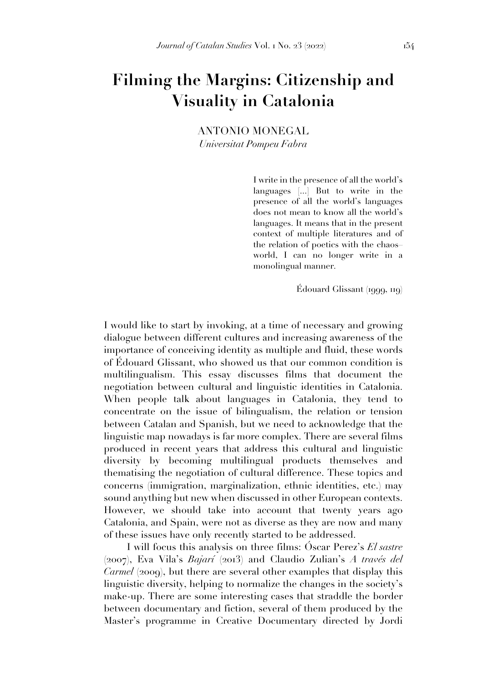# **Filming the Margins: Citizenship and Visuality in Catalonia**

ANTONIO MONEGAL *Universitat Pompeu Fabra*

> I write in the presence of all the world's languages [...] But to write in the presence of all the world's languages does not mean to know all the world's languages. It means that in the present context of multiple literatures and of the relation of poetics with the chaos– world, I can no longer write in a monolingual manner.

> > Édouard Glissant (1999, 119)

I would like to start by invoking, at a time of necessary and growing dialogue between different cultures and increasing awareness of the importance of conceiving identity as multiple and fluid, these words of Édouard Glissant, who showed us that our common condition is multilingualism. This essay discusses films that document the negotiation between cultural and linguistic identities in Catalonia. When people talk about languages in Catalonia, they tend to concentrate on the issue of bilingualism, the relation or tension between Catalan and Spanish, but we need to acknowledge that the linguistic map nowadays is far more complex. There are several films produced in recent years that address this cultural and linguistic diversity by becoming multilingual products themselves and thematising the negotiation of cultural difference. These topics and concerns (immigration, marginalization, ethnic identities, etc.) may sound anything but new when discussed in other European contexts. However, we should take into account that twenty years ago Catalonia, and Spain, were not as diverse as they are now and many of these issues have only recently started to be addressed.

I will focus this analysis on three films: Óscar Perez's *El sastre* (2007), Eva Vila's *Bajarí* (2013) and Claudio Zulian's *A través del Carmel* (2009), but there are several other examples that display this linguistic diversity, helping to normalize the changes in the society's make-up. There are some interesting cases that straddle the border between documentary and fiction, several of them produced by the Master's programme in Creative Documentary directed by Jordi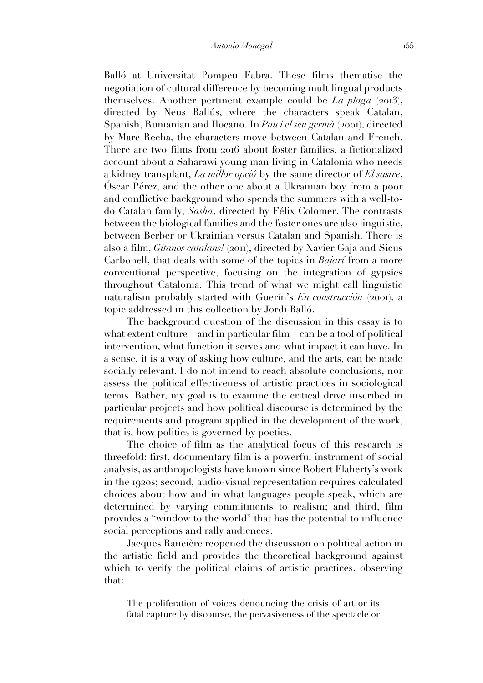Balló at Universitat Pompeu Fabra. These films thematise the negotiation of cultural difference by becoming multilingual products themselves. Another pertinent example could be *La plaga* (2013), directed by Neus Ballús, where the characters speak Catalan, Spanish, Rumanian and Ilocano. In *Pau i el seu germà* (2001), directed by Marc Recha, the characters move between Catalan and French. There are two films from 2016 about foster families, a fictionalized account about a Saharawi young man living in Catalonia who needs a kidney transplant, *La millor opció* by the same director of *El sastre*, Óscar Pérez, and the other one about a Ukrainian boy from a poor and conflictive background who spends the summers with a well-todo Catalan family, *Sasha*, directed by Félix Colomer. The contrasts between the biological families and the foster ones are also linguistic, between Berber or Ukrainian versus Catalan and Spanish. There is also a film, *Gitanos catalans!* (2011), directed by Xavier Gaja and Sicus Carbonell, that deals with some of the topics in *Bajarí* from a more conventional perspective, focusing on the integration of gypsies throughout Catalonia. This trend of what we might call linguistic naturalism probably started with Guerín's *En construcción* (2001), a topic addressed in this collection by Jordi Balló.

The background question of the discussion in this essay is to what extent culture—and in particular film—can be a tool of political intervention, what function it serves and what impact it can have. In a sense, it is a way of asking how culture, and the arts, can be made socially relevant. I do not intend to reach absolute conclusions, nor assess the political effectiveness of artistic practices in sociological terms. Rather, my goal is to examine the critical drive inscribed in particular projects and how political discourse is determined by the requirements and program applied in the development of the work, that is, how politics is governed by poetics.

The choice of film as the analytical focus of this research is threefold: first, documentary film is a powerful instrument of social analysis, as anthropologists have known since Robert Flaherty's work in the 1920s; second, audio-visual representation requires calculated choices about how and in what languages people speak, which are determined by varying commitments to realism; and third, film provides a "window to the world" that has the potential to influence social perceptions and rally audiences.

Jacques Rancière reopened the discussion on political action in the artistic field and provides the theoretical background against which to verify the political claims of artistic practices, observing that:

The proliferation of voices denouncing the crisis of art or its fatal capture by discourse, the pervasiveness of the spectacle or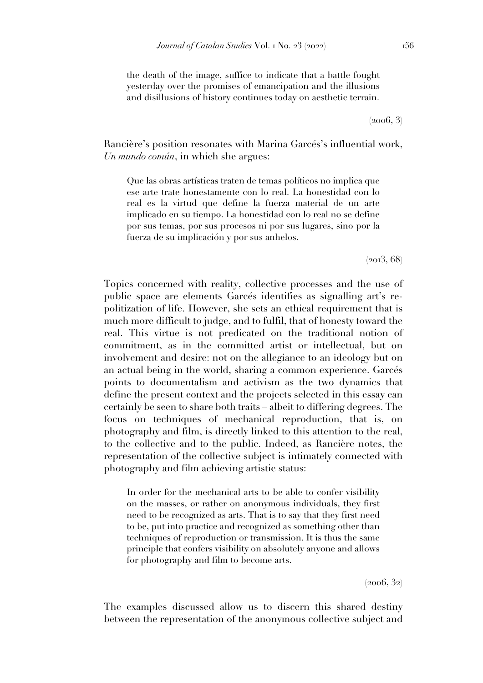the death of the image, suffice to indicate that a battle fought yesterday over the promises of emancipation and the illusions and disillusions of history continues today on aesthetic terrain.

 $(2006, 3)$ 

Rancière's position resonates with Marina Garcés's influential work, *Un mundo común*, in which she argues:

Que las obras artísticas traten de temas políticos no implica que ese arte trate honestamente con lo real. La honestidad con lo real es la virtud que define la fuerza material de un arte implicado en su tiempo. La honestidad con lo real no se define por sus temas, por sus procesos ni por sus lugares, sino por la fuerza de su implicación y por sus anhelos.

 $(2013, 68)$ 

Topics concerned with reality, collective processes and the use of public space are elements Garcés identifies as signalling art's repolitization of life. However, she sets an ethical requirement that is much more difficult to judge, and to fulfil, that of honesty toward the real. This virtue is not predicated on the traditional notion of commitment, as in the committed artist or intellectual, but on involvement and desire: not on the allegiance to an ideology but on an actual being in the world, sharing a common experience. Garcés points to documentalism and activism as the two dynamics that define the present context and the projects selected in this essay can certainly be seen to share both traits – albeit to differing degrees. The focus on techniques of mechanical reproduction, that is, on photography and film, is directly linked to this attention to the real, to the collective and to the public. Indeed, as Rancière notes, the representation of the collective subject is intimately connected with photography and film achieving artistic status:

In order for the mechanical arts to be able to confer visibility on the masses, or rather on anonymous individuals, they first need to be recognized as arts. That is to say that they first need to be, put into practice and recognized as something other than techniques of reproduction or transmission. It is thus the same principle that confers visibility on absolutely anyone and allows for photography and film to become arts.

 $(2006, 32)$ 

The examples discussed allow us to discern this shared destiny between the representation of the anonymous collective subject and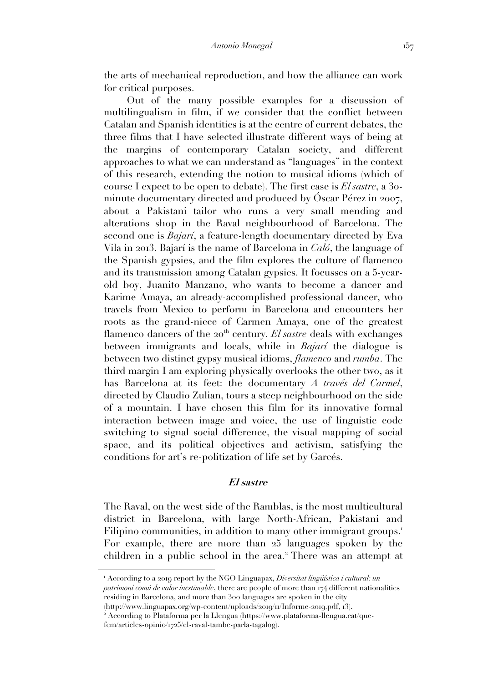the arts of mechanical reproduction, and how the alliance can work for critical purposes.

Out of the many possible examples for a discussion of multilingualism in film, if we consider that the conflict between Catalan and Spanish identities is at the centre of current debates, the three films that I have selected illustrate different ways of being at the margins of contemporary Catalan society, and different approaches to what we can understand as "languages" in the context of this research, extending the notion to musical idioms (which of course I expect to be open to debate). The first case is *El sastre*, a 30 minute documentary directed and produced by Óscar Pérez in 2007, about a Pakistani tailor who runs a very small mending and alterations shop in the Raval neighbourhood of Barcelona. The second one is *Bajarí*, a feature-length documentary directed by Eva Vila in 2013. Bajarí is the name of Barcelona in *Caló*, the language of the Spanish gypsies, and the film explores the culture of flamenco and its transmission among Catalan gypsies. It focusses on a 5-yearold boy, Juanito Manzano, who wants to become a dancer and Karime Amaya, an already-accomplished professional dancer, who travels from Mexico to perform in Barcelona and encounters her roots as the grand-niece of Carmen Amaya, one of the greatest flamenco dancers of the 20<sup>th</sup> century. *El sastre* deals with exchanges between immigrants and locals, while in *Bajarí* the dialogue is between two distinct gypsy musical idioms, *flamenco* and *rumba*. The third margin I am exploring physically overlooks the other two, as it has Barcelona at its feet: the documentary *A través del Carmel*, directed by Claudio Zulian, tours a steep neighbourhood on the side of a mountain. I have chosen this film for its innovative formal interaction between image and voice, the use of linguistic code switching to signal social difference, the visual mapping of social space, and its political objectives and activism, satisfying the conditions for art's re-politization of life set by Garcés.

#### **El sastre**

The Raval, on the west side of the Ramblas, is the most multicultural district in Barcelona, with large North-African, Pakistani and Filipino communities, in addition to many other immigrant groups.<sup>1</sup> For example, there are more than 25 languages spoken by the children in a public school in the area.<sup>2</sup> There was an attempt at

<sup>1</sup> According to a 2019 report by the NGO Linguapax, *Diversitat lingüística i cultural: un patrimoni comú de valor inestimable*, there are people of more than 174 different nationalities residing in Barcelona, and more than 300 languages are spoken in the city

<sup>(</sup>http://www.linguapax.org/wp-content/uploads/2019/11/Informe-2019.pdf, 13).

<sup>2</sup> According to Plataforma per la Llengua (https://www.plataforma-llengua.cat/quefem/articles-opinio/1725/el-raval-tambe-parla-tagalog).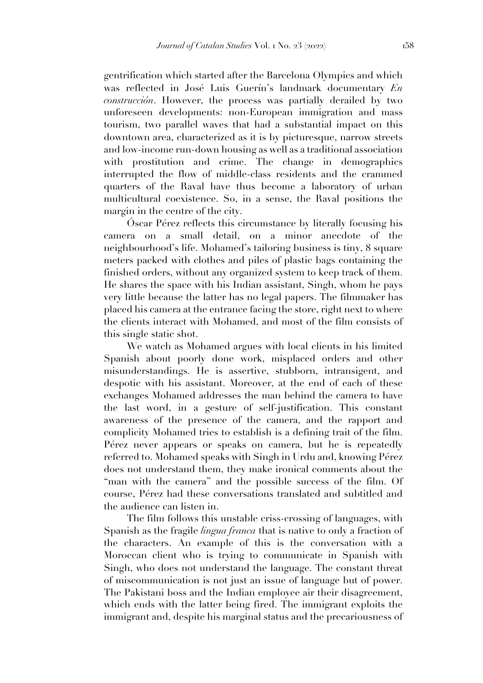gentrification which started after the Barcelona Olympics and which was reflected in José Luis Guerín's landmark documentary *En construcción*. However, the process was partially derailed by two unforeseen developments: non-European immigration and mass tourism, two parallel waves that had a substantial impact on this downtown area, characterized as it is by picturesque, narrow streets and low-income run-down housing as well as a traditional association with prostitution and crime. The change in demographics interrupted the flow of middle-class residents and the crammed quarters of the Raval have thus become a laboratory of urban multicultural coexistence. So, in a sense, the Raval positions the margin in the centre of the city.

Óscar Pérez reflects this circumstance by literally focusing his camera on a small detail, on a minor anecdote of the neighbourhood's life. Mohamed's tailoring business is tiny, 8 square meters packed with clothes and piles of plastic bags containing the finished orders, without any organized system to keep track of them. He shares the space with his Indian assistant, Singh, whom he pays very little because the latter has no legal papers. The filmmaker has placed his camera at the entrance facing the store, right next to where the clients interact with Mohamed, and most of the film consists of this single static shot.

We watch as Mohamed argues with local clients in his limited Spanish about poorly done work, misplaced orders and other misunderstandings. He is assertive, stubborn, intransigent, and despotic with his assistant. Moreover, at the end of each of these exchanges Mohamed addresses the man behind the camera to have the last word, in a gesture of self-justification. This constant awareness of the presence of the camera, and the rapport and complicity Mohamed tries to establish is a defining trait of the film. Pérez never appears or speaks on camera, but he is repeatedly referred to. Mohamed speaks with Singh in Urdu and, knowing Pérez does not understand them, they make ironical comments about the "man with the camera" and the possible success of the film. Of course, Pérez had these conversations translated and subtitled and the audience can listen in.

The film follows this unstable criss-crossing of languages, with Spanish as the fragile *lingua franca* that is native to only a fraction of the characters. An example of this is the conversation with a Moroccan client who is trying to communicate in Spanish with Singh, who does not understand the language. The constant threat of miscommunication is not just an issue of language but of power. The Pakistani boss and the Indian employee air their disagreement, which ends with the latter being fired. The immigrant exploits the immigrant and, despite his marginal status and the precariousness of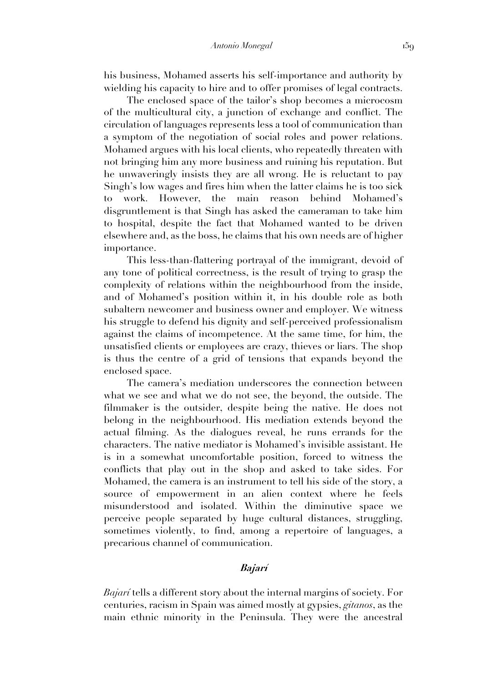his business, Mohamed asserts his self-importance and authority by wielding his capacity to hire and to offer promises of legal contracts.

The enclosed space of the tailor's shop becomes a microcosm of the multicultural city, a junction of exchange and conflict. The circulation of languages represents less a tool of communication than a symptom of the negotiation of social roles and power relations. Mohamed argues with his local clients, who repeatedly threaten with not bringing him any more business and ruining his reputation. But he unwaveringly insists they are all wrong. He is reluctant to pay Singh's low wages and fires him when the latter claims he is too sick to work. However, the main reason behind Mohamed's disgruntlement is that Singh has asked the cameraman to take him to hospital, despite the fact that Mohamed wanted to be driven elsewhere and, as the boss, he claims that his own needs are of higher importance.

This less-than-flattering portrayal of the immigrant, devoid of any tone of political correctness, is the result of trying to grasp the complexity of relations within the neighbourhood from the inside, and of Mohamed's position within it, in his double role as both subaltern newcomer and business owner and employer. We witness his struggle to defend his dignity and self-perceived professionalism against the claims of incompetence. At the same time, for him, the unsatisfied clients or employees are crazy, thieves or liars. The shop is thus the centre of a grid of tensions that expands beyond the enclosed space.

The camera's mediation underscores the connection between what we see and what we do not see, the beyond, the outside. The filmmaker is the outsider, despite being the native. He does not belong in the neighbourhood. His mediation extends beyond the actual filming. As the dialogues reveal, he runs errands for the characters. The native mediator is Mohamed's invisible assistant. He is in a somewhat uncomfortable position, forced to witness the conflicts that play out in the shop and asked to take sides. For Mohamed, the camera is an instrument to tell his side of the story, a source of empowerment in an alien context where he feels misunderstood and isolated. Within the diminutive space we perceive people separated by huge cultural distances, struggling, sometimes violently, to find, among a repertoire of languages, a precarious channel of communication.

## **Bajarí**

*Bajarí* tells a different story about the internal margins of society. For centuries, racism in Spain was aimed mostly at gypsies, *gitanos*, as the main ethnic minority in the Peninsula. They were the ancestral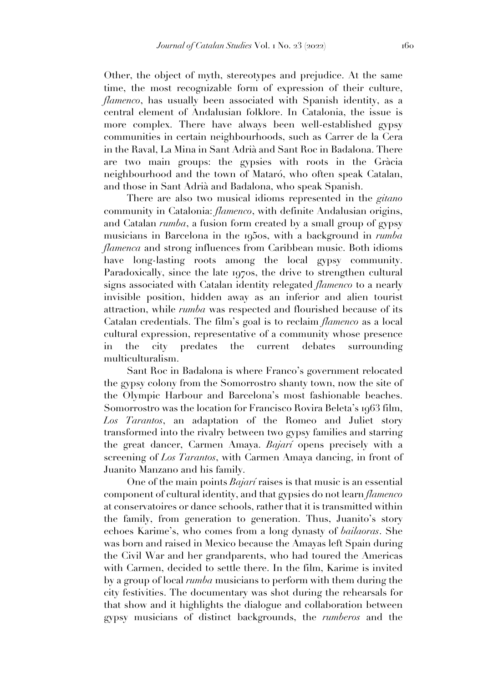Other, the object of myth, stereotypes and prejudice. At the same time, the most recognizable form of expression of their culture, *flamenco*, has usually been associated with Spanish identity, as a central element of Andalusian folklore. In Catalonia, the issue is more complex. There have always been well-established gypsy communities in certain neighbourhoods, such as Carrer de la Cera in the Raval, La Mina in Sant Adrià and Sant Roc in Badalona. There are two main groups: the gypsies with roots in the Gràcia neighbourhood and the town of Mataró, who often speak Catalan, and those in Sant Adrià and Badalona, who speak Spanish.

There are also two musical idioms represented in the *gitano* community in Catalonia: *flamenco*, with definite Andalusian origins, and Catalan *rumba*, a fusion form created by a small group of gypsy musicians in Barcelona in the 1950s, with a background in *rumba flamenca* and strong influences from Caribbean music. Both idioms have long-lasting roots among the local gypsy community. Paradoxically, since the late 1970s, the drive to strengthen cultural signs associated with Catalan identity relegated *flamenco* to a nearly invisible position, hidden away as an inferior and alien tourist attraction, while *rumba* was respected and flourished because of its Catalan credentials. The film's goal is to reclaim *flamenco* as a local cultural expression, representative of a community whose presence in the city predates the current debates surrounding multiculturalism.

Sant Roc in Badalona is where Franco's government relocated the gypsy colony from the Somorrostro shanty town, now the site of the Olympic Harbour and Barcelona's most fashionable beaches. Somorrostro was the location for Francisco Rovira Beleta's 1963 film, *Los Tarantos*, an adaptation of the Romeo and Juliet story transformed into the rivalry between two gypsy families and starring the great dancer, Carmen Amaya. *Bajarí* opens precisely with a screening of *Los Tarantos*, with Carmen Amaya dancing, in front of Juanito Manzano and his family.

One of the main points *Bajarí* raises is that music is an essential component of cultural identity, and that gypsies do not learn *flamenco* at conservatoires or dance schools, rather that it is transmitted within the family, from generation to generation. Thus, Juanito's story echoes Karime's, who comes from a long dynasty of *bailaoras*. She was born and raised in Mexico because the Amayas left Spain during the Civil War and her grandparents, who had toured the Americas with Carmen, decided to settle there. In the film, Karime is invited by a group of local *rumba* musicians to perform with them during the city festivities. The documentary was shot during the rehearsals for that show and it highlights the dialogue and collaboration between gypsy musicians of distinct backgrounds, the *rumberos* and the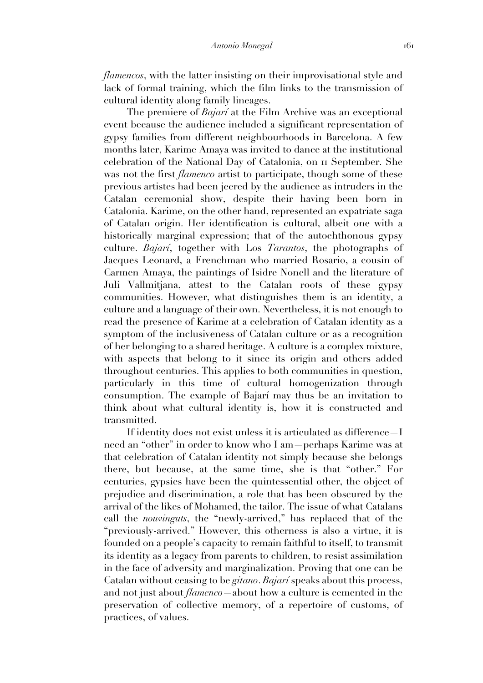*flamencos*, with the latter insisting on their improvisational style and lack of formal training, which the film links to the transmission of cultural identity along family lineages.

The premiere of *Bajarí* at the Film Archive was an exceptional event because the audience included a significant representation of gypsy families from different neighbourhoods in Barcelona. A few months later, Karime Amaya was invited to dance at the institutional celebration of the National Day of Catalonia, on 11 September. She was not the first *flamenco* artist to participate, though some of these previous artistes had been jeered by the audience as intruders in the Catalan ceremonial show, despite their having been born in Catalonia. Karime, on the other hand, represented an expatriate saga of Catalan origin. Her identification is cultural, albeit one with a historically marginal expression; that of the autochthonous gypsy culture. *Bajarí*, together with Los *Tarantos*, the photographs of Jacques Leonard, a Frenchman who married Rosario, a cousin of Carmen Amaya, the paintings of Isidre Nonell and the literature of Juli Vallmitjana, attest to the Catalan roots of these gypsy communities. However, what distinguishes them is an identity, a culture and a language of their own. Nevertheless, it is not enough to read the presence of Karime at a celebration of Catalan identity as a symptom of the inclusiveness of Catalan culture or as a recognition of her belonging to a shared heritage. A culture is a complex mixture, with aspects that belong to it since its origin and others added throughout centuries. This applies to both communities in question, particularly in this time of cultural homogenization through consumption. The example of Bajarí may thus be an invitation to think about what cultural identity is, how it is constructed and transmitted.

If identity does not exist unless it is articulated as difference—I need an "other" in order to know who I am—perhaps Karime was at that celebration of Catalan identity not simply because she belongs there, but because, at the same time, she is that "other." For centuries, gypsies have been the quintessential other, the object of prejudice and discrimination, a role that has been obscured by the arrival of the likes of Mohamed, the tailor. The issue of what Catalans call the *nouvinguts*, the "newly-arrived," has replaced that of the "previously-arrived." However, this otherness is also a virtue, it is founded on a people's capacity to remain faithful to itself, to transmit its identity as a legacy from parents to children, to resist assimilation in the face of adversity and marginalization. Proving that one can be Catalan without ceasing to be *gitano*. *Bajarí* speaks about this process, and not just about *flamenco*—about how a culture is cemented in the preservation of collective memory, of a repertoire of customs, of practices, of values.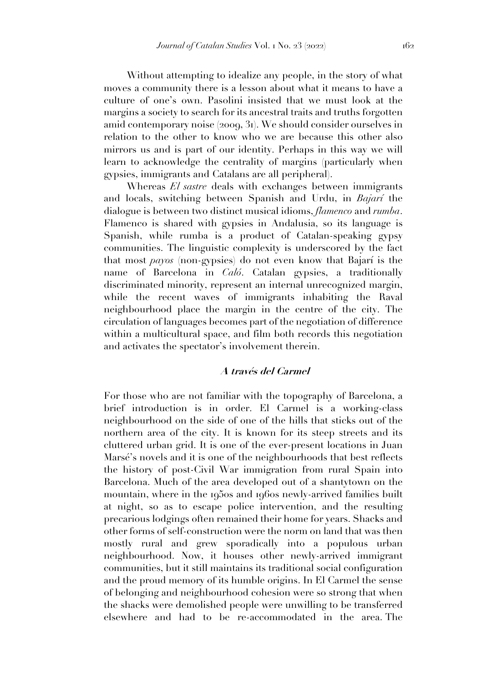Without attempting to idealize any people, in the story of what moves a community there is a lesson about what it means to have a culture of one's own. Pasolini insisted that we must look at the margins a society to search for its ancestral traits and truths forgotten amid contemporary noise (2009, 31). We should consider ourselves in relation to the other to know who we are because this other also mirrors us and is part of our identity. Perhaps in this way we will learn to acknowledge the centrality of margins (particularly when gypsies, immigrants and Catalans are all peripheral).

Whereas *El sastre* deals with exchanges between immigrants and locals, switching between Spanish and Urdu, in *Bajarí* the dialogue is between two distinct musical idioms, *flamenco* and *rumba*. Flamenco is shared with gypsies in Andalusia, so its language is Spanish, while rumba is a product of Catalan-speaking gypsy communities. The linguistic complexity is underscored by the fact that most *payos* (non-gypsies) do not even know that Bajarí is the name of Barcelona in *Caló*. Catalan gypsies, a traditionally discriminated minority, represent an internal unrecognized margin, while the recent waves of immigrants inhabiting the Raval neighbourhood place the margin in the centre of the city. The circulation of languages becomes part of the negotiation of difference within a multicultural space, and film both records this negotiation and activates the spectator's involvement therein.

### **A través del Carmel**

For those who are not familiar with the topography of Barcelona, a brief introduction is in order. El Carmel is a working-class neighbourhood on the side of one of the hills that sticks out of the northern area of the city. It is known for its steep streets and its cluttered urban grid. It is one of the ever-present locations in Juan Marsé's novels and it is one of the neighbourhoods that best reflects the history of post-Civil War immigration from rural Spain into Barcelona. Much of the area developed out of a shantytown on the mountain, where in the 1950s and 1960s newly-arrived families built at night, so as to escape police intervention, and the resulting precarious lodgings often remained their home for years. Shacks and other forms of self-construction were the norm on land that was then mostly rural and grew sporadically into a populous urban neighbourhood. Now, it houses other newly-arrived immigrant communities, but it still maintains its traditional social configuration and the proud memory of its humble origins. In El Carmel the sense of belonging and neighbourhood cohesion were so strong that when the shacks were demolished people were unwilling to be transferred elsewhere and had to be re-accommodated in the area. The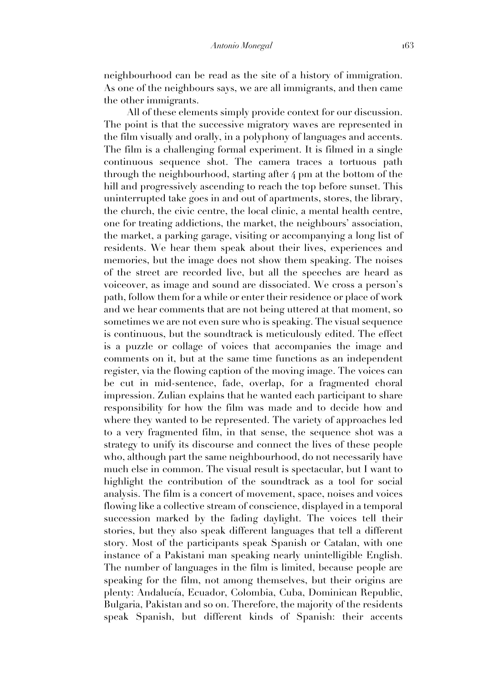neighbourhood can be read as the site of a history of immigration. As one of the neighbours says, we are all immigrants, and then came the other immigrants.

All of these elements simply provide context for our discussion. The point is that the successive migratory waves are represented in the film visually and orally, in a polyphony of languages and accents. The film is a challenging formal experiment. It is filmed in a single continuous sequence shot. The camera traces a tortuous path through the neighbourhood, starting after 4 pm at the bottom of the hill and progressively ascending to reach the top before sunset. This uninterrupted take goes in and out of apartments, stores, the library, the church, the civic centre, the local clinic, a mental health centre, one for treating addictions, the market, the neighbours' association, the market, a parking garage, visiting or accompanying a long list of residents. We hear them speak about their lives, experiences and memories, but the image does not show them speaking. The noises of the street are recorded live, but all the speeches are heard as voiceover, as image and sound are dissociated. We cross a person's path, follow them for a while or enter their residence or place of work and we hear comments that are not being uttered at that moment, so sometimes we are not even sure who is speaking. The visual sequence is continuous, but the soundtrack is meticulously edited. The effect is a puzzle or collage of voices that accompanies the image and comments on it, but at the same time functions as an independent register, via the flowing caption of the moving image. The voices can be cut in mid-sentence, fade, overlap, for a fragmented choral impression. Zulian explains that he wanted each participant to share responsibility for how the film was made and to decide how and where they wanted to be represented. The variety of approaches led to a very fragmented film, in that sense, the sequence shot was a strategy to unify its discourse and connect the lives of these people who, although part the same neighbourhood, do not necessarily have much else in common. The visual result is spectacular, but I want to highlight the contribution of the soundtrack as a tool for social analysis. The film is a concert of movement, space, noises and voices flowing like a collective stream of conscience, displayed in a temporal succession marked by the fading daylight. The voices tell their stories, but they also speak different languages that tell a different story. Most of the participants speak Spanish or Catalan, with one instance of a Pakistani man speaking nearly unintelligible English. The number of languages in the film is limited, because people are speaking for the film, not among themselves, but their origins are plenty: Andalucía, Ecuador, Colombia, Cuba, Dominican Republic, Bulgaria, Pakistan and so on. Therefore, the majority of the residents speak Spanish, but different kinds of Spanish: their accents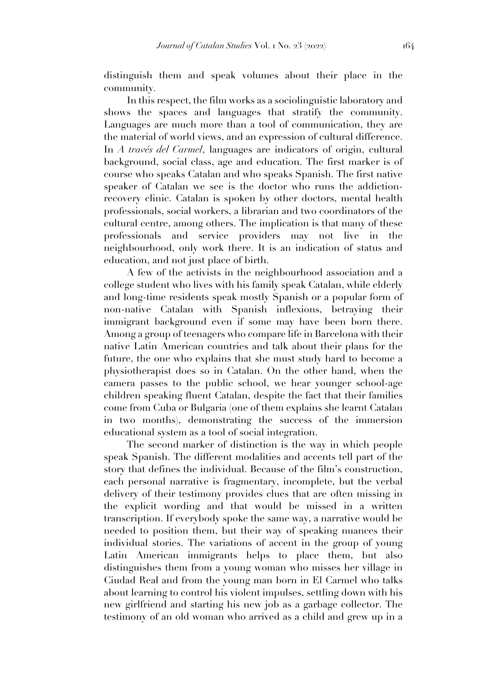distinguish them and speak volumes about their place in the community.

In this respect, the film works as a sociolinguistic laboratory and shows the spaces and languages that stratify the community. Languages are much more than a tool of communication, they are the material of world views, and an expression of cultural difference. In *A través del Carmel*, languages are indicators of origin, cultural background, social class, age and education. The first marker is of course who speaks Catalan and who speaks Spanish. The first native speaker of Catalan we see is the doctor who runs the addictionrecovery clinic. Catalan is spoken by other doctors, mental health professionals, social workers, a librarian and two coordinators of the cultural centre, among others. The implication is that many of these professionals and service providers may not live in the neighbourhood, only work there. It is an indication of status and education, and not just place of birth.

A few of the activists in the neighbourhood association and a college student who lives with his family speak Catalan, while elderly and long-time residents speak mostly Spanish or a popular form of non-native Catalan with Spanish inflexions, betraying their immigrant background even if some may have been born there. Among a group of teenagers who compare life in Barcelona with their native Latin American countries and talk about their plans for the future, the one who explains that she must study hard to become a physiotherapist does so in Catalan. On the other hand, when the camera passes to the public school, we hear younger school-age children speaking fluent Catalan, despite the fact that their families come from Cuba or Bulgaria (one of them explains she learnt Catalan in two months), demonstrating the success of the immersion educational system as a tool of social integration.

The second marker of distinction is the way in which people speak Spanish. The different modalities and accents tell part of the story that defines the individual. Because of the film's construction, each personal narrative is fragmentary, incomplete, but the verbal delivery of their testimony provides clues that are often missing in the explicit wording and that would be missed in a written transcription. If everybody spoke the same way, a narrative would be needed to position them, but their way of speaking nuances their individual stories. The variations of accent in the group of young Latin American immigrants helps to place them, but also distinguishes them from a young woman who misses her village in Ciudad Real and from the young man born in El Carmel who talks about learning to control his violent impulses, settling down with his new girlfriend and starting his new job as a garbage collector. The testimony of an old woman who arrived as a child and grew up in a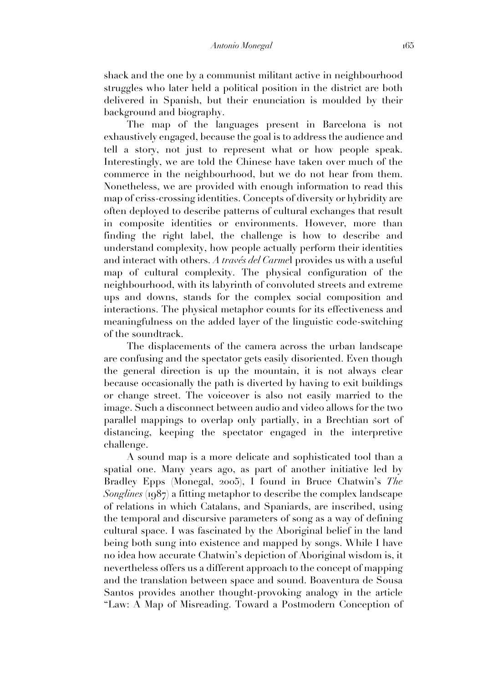shack and the one by a communist militant active in neighbourhood struggles who later held a political position in the district are both delivered in Spanish, but their enunciation is moulded by their background and biography.

The map of the languages present in Barcelona is not exhaustively engaged, because the goal is to address the audience and tell a story, not just to represent what or how people speak. Interestingly, we are told the Chinese have taken over much of the commerce in the neighbourhood, but we do not hear from them. Nonetheless, we are provided with enough information to read this map of criss-crossing identities. Concepts of diversity or hybridity are often deployed to describe patterns of cultural exchanges that result in composite identities or environments. However, more than finding the right label, the challenge is how to describe and understand complexity, how people actually perform their identities and interact with others. *A través del Carme*l provides us with a useful map of cultural complexity. The physical configuration of the neighbourhood, with its labyrinth of convoluted streets and extreme ups and downs, stands for the complex social composition and interactions. The physical metaphor counts for its effectiveness and meaningfulness on the added layer of the linguistic code-switching of the soundtrack.

The displacements of the camera across the urban landscape are confusing and the spectator gets easily disoriented. Even though the general direction is up the mountain, it is not always clear because occasionally the path is diverted by having to exit buildings or change street. The voiceover is also not easily married to the image. Such a disconnect between audio and video allows for the two parallel mappings to overlap only partially, in a Brechtian sort of distancing, keeping the spectator engaged in the interpretive challenge.

A sound map is a more delicate and sophisticated tool than a spatial one. Many years ago, as part of another initiative led by Bradley Epps (Monegal, 2005), I found in Bruce Chatwin's *The Songlines* (1987) a fitting metaphor to describe the complex landscape of relations in which Catalans, and Spaniards, are inscribed, using the temporal and discursive parameters of song as a way of defining cultural space. I was fascinated by the Aboriginal belief in the land being both sung into existence and mapped by songs. While I have no idea how accurate Chatwin's depiction of Aboriginal wisdom is, it nevertheless offers us a different approach to the concept of mapping and the translation between space and sound. Boaventura de Sousa Santos provides another thought-provoking analogy in the article "Law: A Map of Misreading. Toward a Postmodern Conception of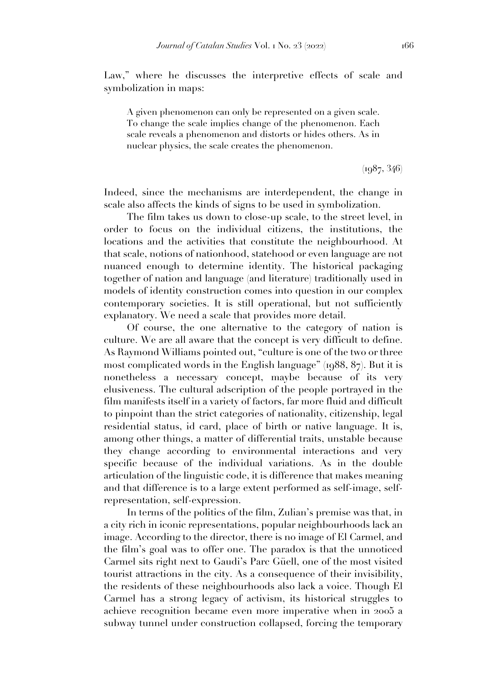Law," where he discusses the interpretive effects of scale and symbolization in maps:

A given phenomenon can only be represented on a given scale. To change the scale implies change of the phenomenon. Each scale reveals a phenomenon and distorts or hides others. As in nuclear physics, the scale creates the phenomenon.

 $(1987, 346)$ 

Indeed, since the mechanisms are interdependent, the change in scale also affects the kinds of signs to be used in symbolization.

The film takes us down to close-up scale, to the street level, in order to focus on the individual citizens, the institutions, the locations and the activities that constitute the neighbourhood. At that scale, notions of nationhood, statehood or even language are not nuanced enough to determine identity. The historical packaging together of nation and language (and literature) traditionally used in models of identity construction comes into question in our complex contemporary societies. It is still operational, but not sufficiently explanatory. We need a scale that provides more detail.

Of course, the one alternative to the category of nation is culture. We are all aware that the concept is very difficult to define. As Raymond Williams pointed out, "culture is one of the two or three most complicated words in the English language"  $(1988, 87)$ . But it is nonetheless a necessary concept, maybe because of its very elusiveness. The cultural adscription of the people portrayed in the film manifests itself in a variety of factors, far more fluid and difficult to pinpoint than the strict categories of nationality, citizenship, legal residential status, id card, place of birth or native language. It is, among other things, a matter of differential traits, unstable because they change according to environmental interactions and very specific because of the individual variations. As in the double articulation of the linguistic code, it is difference that makes meaning and that difference is to a large extent performed as self-image, selfrepresentation, self-expression.

In terms of the politics of the film, Zulian's premise was that, in a city rich in iconic representations, popular neighbourhoods lack an image. According to the director, there is no image of El Carmel, and the film's goal was to offer one. The paradox is that the unnoticed Carmel sits right next to Gaudi's Parc Güell, one of the most visited tourist attractions in the city. As a consequence of their invisibility, the residents of these neighbourhoods also lack a voice. Though El Carmel has a strong legacy of activism, its historical struggles to achieve recognition became even more imperative when in 2005 a subway tunnel under construction collapsed, forcing the temporary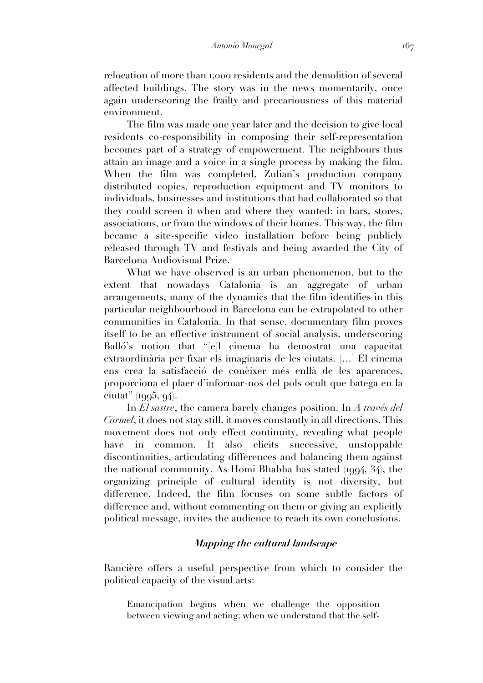relocation of more than 1,000 residents and the demolition of several affected buildings. The story was in the news momentarily, once again underscoring the frailty and precariousness of this material environment.

The film was made one year later and the decision to give local residents co-responsibility in composing their self-representation becomes part of a strategy of empowerment. The neighbours thus attain an image and a voice in a single process by making the film. When the film was completed, Zulian's production company distributed copies, reproduction equipment and TV monitors to individuals, businesses and institutions that had collaborated so that they could screen it when and where they wanted: in bars, stores, associations, or from the windows of their homes. This way, the film became a site-specific video installation before being publicly released through TV and festivals and being awarded the City of Barcelona Audiovisual Prize.

What we have observed is an urban phenomenon, but to the extent that nowadays Catalonia is an aggregate of urban arrangements, many of the dynamics that the film identifies in this particular neighbourhood in Barcelona can be extrapolated to other communities in Catalonia. In that sense, documentary film proves itself to be an effective instrument of social analysis, underscoring Balló's notion that "[e]l cinema ha demostrat una capacitat extraordinària per fixar els imaginaris de les ciutats. […] El cinema ens crea la satisfacció de conèixer més enllà de les aparences, proporciona el plaer d'informar-nos del pols ocult que batega en la ciutat" (1995, 94).

In *El sastre*, the camera barely changes position. In *A través del Carmel*, it does not stay still, it moves constantly in all directions. This movement does not only effect continuity, revealing what people have in common. It also elicits successive, unstoppable discontinuities, articulating differences and balancing them against the national community. As Homi Bhabha has stated (1994, 34), the organizing principle of cultural identity is not diversity, but difference. Indeed, the film focuses on some subtle factors of difference and, without commenting on them or giving an explicitly political message, invites the audience to reach its own conclusions.

## **Mapping the cultural landscape**

Rancière offers a useful perspective from which to consider the political capacity of the visual arts:

Emancipation begins when we challenge the opposition between viewing and acting; when we understand that the self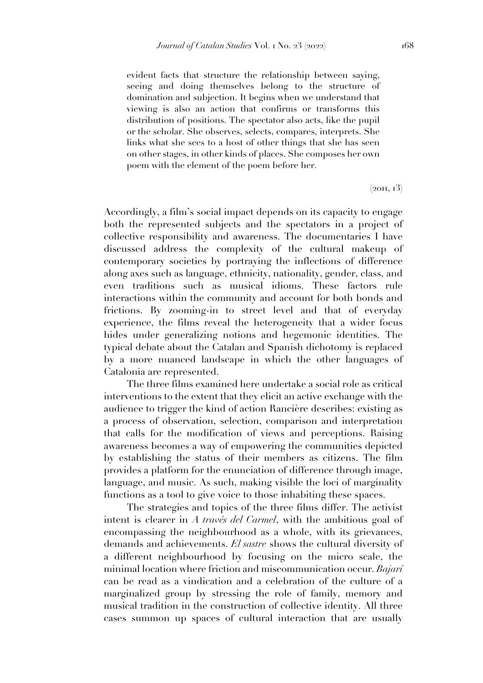evident facts that structure the relationship between saying, seeing and doing themselves belong to the structure of domination and subjection. It begins when we understand that viewing is also an action that confirms or transforms this distribution of positions. The spectator also acts, like the pupil or the scholar. She observes, selects, compares, interprets. She links what she sees to a host of other things that she has seen on other stages, in other kinds of places. She composes her own poem with the element of the poem before her.

 $(2011, 13)$ 

Accordingly, a film's social impact depends on its capacity to engage both the represented subjects and the spectators in a project of collective responsibility and awareness. The documentaries I have discussed address the complexity of the cultural makeup of contemporary societies by portraying the inflections of difference along axes such as language, ethnicity, nationality, gender, class, and even traditions such as musical idioms. These factors rule interactions within the community and account for both bonds and frictions. By zooming-in to street level and that of everyday experience, the films reveal the heterogeneity that a wider focus hides under generalizing notions and hegemonic identities. The typical debate about the Catalan and Spanish dichotomy is replaced by a more nuanced landscape in which the other languages of Catalonia are represented.

The three films examined here undertake a social role as critical interventions to the extent that they elicit an active exchange with the audience to trigger the kind of action Rancière describes: existing as a process of observation, selection, comparison and interpretation that calls for the modification of views and perceptions. Raising awareness becomes a way of empowering the communities depicted by establishing the status of their members as citizens. The film provides a platform for the enunciation of difference through image, language, and music. As such, making visible the loci of marginality functions as a tool to give voice to those inhabiting these spaces.

The strategies and topics of the three films differ. The activist intent is clearer in *A través del Carmel*, with the ambitious goal of encompassing the neighbourhood as a whole, with its grievances, demands and achievements. *El sastre* shows the cultural diversity of a different neighbourhood by focusing on the micro scale, the minimal location where friction and miscommunication occur. *Bajarí* can be read as a vindication and a celebration of the culture of a marginalized group by stressing the role of family, memory and musical tradition in the construction of collective identity. All three cases summon up spaces of cultural interaction that are usually